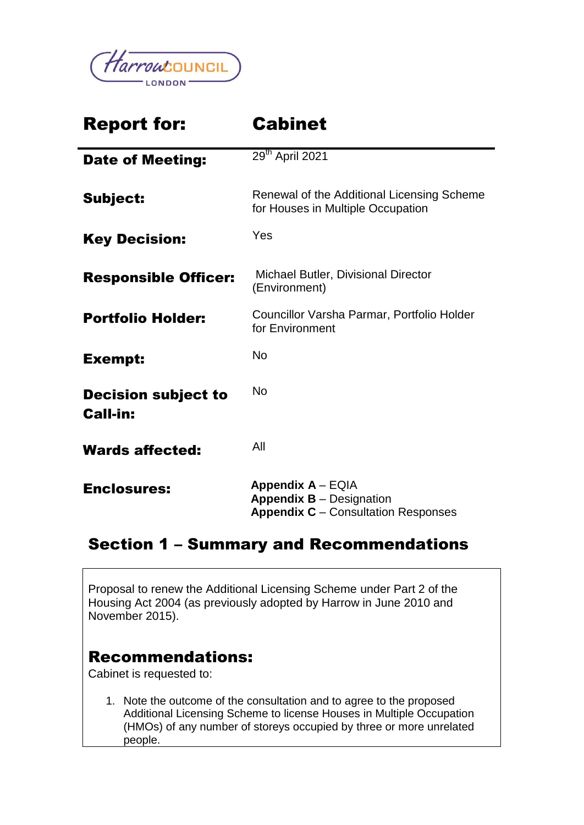

# Report for: Cabinet Date of Meeting: 29<sup>th</sup> April 2021 Subject: Renewal of the Additional Licensing Scheme for Houses in Multiple Occupation Key Decision: Yes Responsible Officer: Michael Butler, Divisional Director (Environment) **Portfolio Holder:** Councillor Varsha Parmar, Portfolio Holder for Environment Exempt: No Decision subject to Call-in: No Wards affected: All Enclosures: **Appendix A** – EQIA **Appendix B** – Designation **Appendix C** – Consultation Responses

## Section 1 – Summary and Recommendations

Proposal to renew the Additional Licensing Scheme under Part 2 of the Housing Act 2004 (as previously adopted by Harrow in June 2010 and November 2015).

## Recommendations:

Cabinet is requested to:

1. Note the outcome of the consultation and to agree to the proposed Additional Licensing Scheme to license Houses in Multiple Occupation (HMOs) of any number of storeys occupied by three or more unrelated people.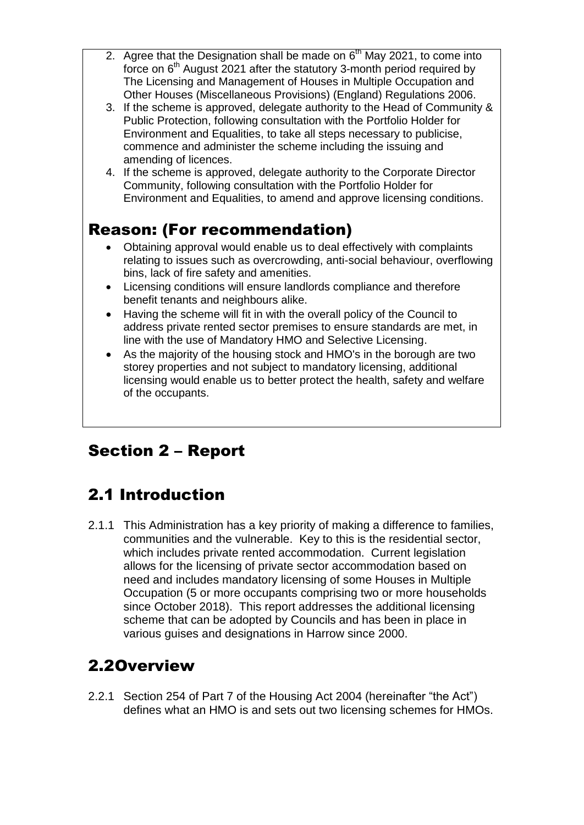- 2. Agree that the Designation shall be made on  $6<sup>th</sup>$  May 2021, to come into force on 6<sup>th</sup> August 2021 after the statutory 3-month period required by The Licensing and Management of Houses in Multiple Occupation and Other Houses (Miscellaneous Provisions) (England) Regulations 2006.
- 3. If the scheme is approved, delegate authority to the Head of Community & Public Protection, following consultation with the Portfolio Holder for Environment and Equalities, to take all steps necessary to publicise, commence and administer the scheme including the issuing and amending of licences.
- 4. If the scheme is approved, delegate authority to the Corporate Director Community, following consultation with the Portfolio Holder for Environment and Equalities, to amend and approve licensing conditions.

## Reason: (For recommendation)

- Obtaining approval would enable us to deal effectively with complaints relating to issues such as overcrowding, anti-social behaviour, overflowing bins, lack of fire safety and amenities.
- Licensing conditions will ensure landlords compliance and therefore benefit tenants and neighbours alike.
- Having the scheme will fit in with the overall policy of the Council to address private rented sector premises to ensure standards are met, in line with the use of Mandatory HMO and Selective Licensing.
- As the majority of the housing stock and HMO's in the borough are two storey properties and not subject to mandatory licensing, additional licensing would enable us to better protect the health, safety and welfare of the occupants.

# Section 2 – Report

# 2.1 Introduction

2.1.1 This Administration has a key priority of making a difference to families, communities and the vulnerable. Key to this is the residential sector, which includes private rented accommodation. Current legislation allows for the licensing of private sector accommodation based on need and includes mandatory licensing of some Houses in Multiple Occupation (5 or more occupants comprising two or more households since October 2018). This report addresses the additional licensing scheme that can be adopted by Councils and has been in place in various guises and designations in Harrow since 2000.

# 2.2Overview

2.2.1 Section 254 of Part 7 of the Housing Act 2004 (hereinafter "the Act") defines what an HMO is and sets out two licensing schemes for HMOs.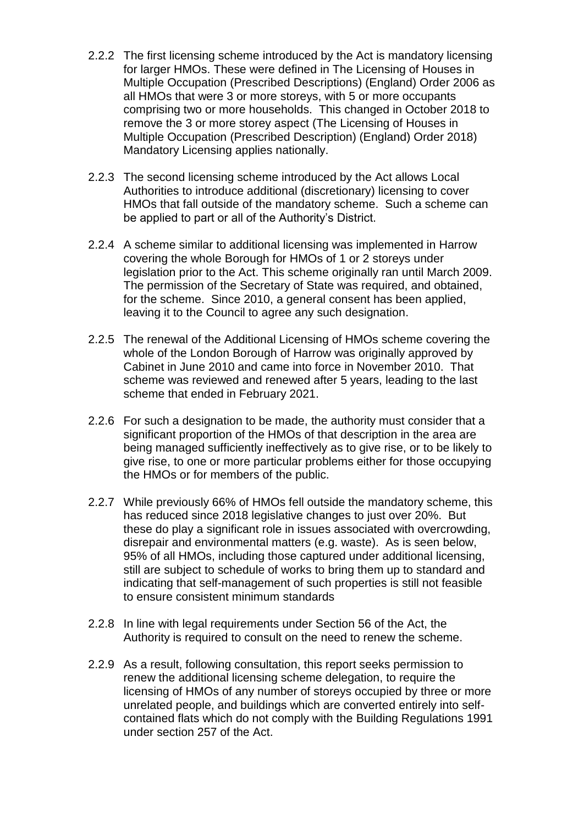- 2.2.2 The first licensing scheme introduced by the Act is mandatory licensing for larger HMOs. These were defined in The Licensing of Houses in Multiple Occupation (Prescribed Descriptions) (England) Order 2006 as all HMOs that were 3 or more storeys, with 5 or more occupants comprising two or more households. This changed in October 2018 to remove the 3 or more storey aspect (The Licensing of Houses in Multiple Occupation (Prescribed Description) (England) Order 2018) Mandatory Licensing applies nationally.
- 2.2.3 The second licensing scheme introduced by the Act allows Local Authorities to introduce additional (discretionary) licensing to cover HMOs that fall outside of the mandatory scheme. Such a scheme can be applied to part or all of the Authority's District.
- 2.2.4 A scheme similar to additional licensing was implemented in Harrow covering the whole Borough for HMOs of 1 or 2 storeys under legislation prior to the Act. This scheme originally ran until March 2009. The permission of the Secretary of State was required, and obtained, for the scheme. Since 2010, a general consent has been applied, leaving it to the Council to agree any such designation.
- 2.2.5 The renewal of the Additional Licensing of HMOs scheme covering the whole of the London Borough of Harrow was originally approved by Cabinet in June 2010 and came into force in November 2010. That scheme was reviewed and renewed after 5 years, leading to the last scheme that ended in February 2021.
- 2.2.6 For such a designation to be made, the authority must consider that a significant proportion of the HMOs of that description in the area are being managed sufficiently ineffectively as to give rise, or to be likely to give rise, to one or more particular problems either for those occupying the HMOs or for members of the public.
- 2.2.7 While previously 66% of HMOs fell outside the mandatory scheme, this has reduced since 2018 legislative changes to just over 20%. But these do play a significant role in issues associated with overcrowding, disrepair and environmental matters (e.g. waste). As is seen below, 95% of all HMOs, including those captured under additional licensing, still are subject to schedule of works to bring them up to standard and indicating that self-management of such properties is still not feasible to ensure consistent minimum standards
- 2.2.8 In line with legal requirements under Section 56 of the Act, the Authority is required to consult on the need to renew the scheme.
- 2.2.9 As a result, following consultation, this report seeks permission to renew the additional licensing scheme delegation, to require the licensing of HMOs of any number of storeys occupied by three or more unrelated people, and buildings which are converted entirely into selfcontained flats which do not comply with the Building Regulations 1991 under section 257 of the Act.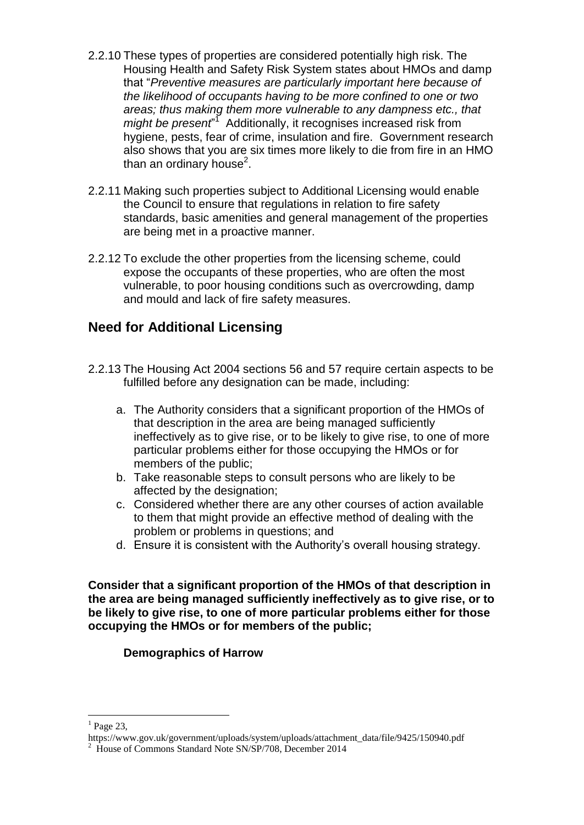- 2.2.10 These types of properties are considered potentially high risk. The Housing Health and Safety Risk System states about HMOs and damp that "*Preventive measures are particularly important here because of the likelihood of occupants having to be more confined to one or two areas; thus making them more vulnerable to any dampness etc., that*  might be present<sup>"</sup> Additionally, it recognises increased risk from hygiene, pests, fear of crime, insulation and fire. Government research also shows that you are six times more likely to die from fire in an HMO than an ordinary house<sup>2</sup>.
- 2.2.11 Making such properties subject to Additional Licensing would enable the Council to ensure that regulations in relation to fire safety standards, basic amenities and general management of the properties are being met in a proactive manner.
- 2.2.12 To exclude the other properties from the licensing scheme, could expose the occupants of these properties, who are often the most vulnerable, to poor housing conditions such as overcrowding, damp and mould and lack of fire safety measures.

### **Need for Additional Licensing**

- 2.2.13 The Housing Act 2004 sections 56 and 57 require certain aspects to be fulfilled before any designation can be made, including:
	- a. The Authority considers that a significant proportion of the HMOs of that description in the area are being managed sufficiently ineffectively as to give rise, or to be likely to give rise, to one of more particular problems either for those occupying the HMOs or for members of the public;
	- b. Take reasonable steps to consult persons who are likely to be affected by the designation;
	- c. Considered whether there are any other courses of action available to them that might provide an effective method of dealing with the problem or problems in questions; and
	- d. Ensure it is consistent with the Authority's overall housing strategy.

**Consider that a significant proportion of the HMOs of that description in the area are being managed sufficiently ineffectively as to give rise, or to be likely to give rise, to one of more particular problems either for those occupying the HMOs or for members of the public;**

#### **Demographics of Harrow**

1

 $<sup>1</sup>$  Page 23,</sup>

https://www.gov.uk/government/uploads/system/uploads/attachment\_data/file/9425/150940.pdf <sup>2</sup> House of Commons Standard Note SN/SP/708, December 2014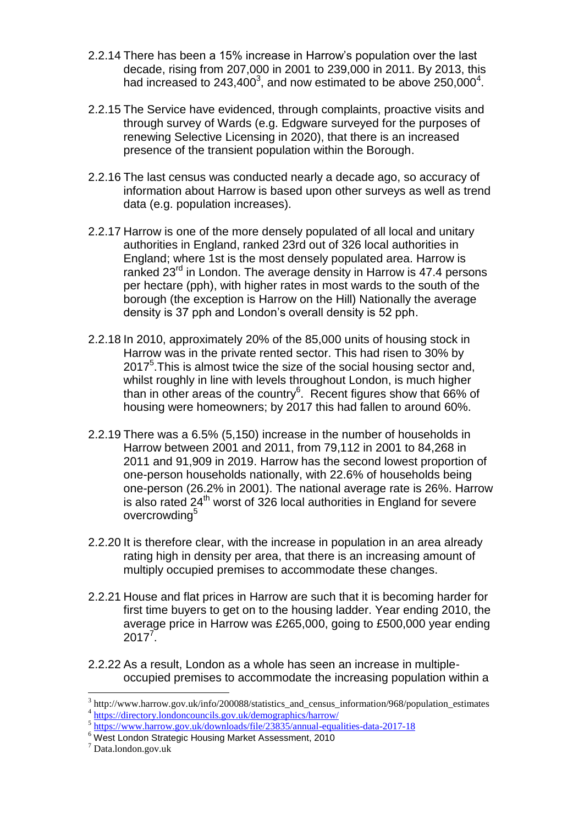- 2.2.14 There has been a 15% increase in Harrow's population over the last decade, rising from 207,000 in 2001 to 239,000 in 2011. By 2013, this had increased to 243,400<sup>3</sup>, and now estimated to be above 250,000<sup>4</sup>.
- 2.2.15 The Service have evidenced, through complaints, proactive visits and through survey of Wards (e.g. Edgware surveyed for the purposes of renewing Selective Licensing in 2020), that there is an increased presence of the transient population within the Borough.
- 2.2.16 The last census was conducted nearly a decade ago, so accuracy of information about Harrow is based upon other surveys as well as trend data (e.g. population increases).
- 2.2.17 Harrow is one of the more densely populated of all local and unitary authorities in England, ranked 23rd out of 326 local authorities in England; where 1st is the most densely populated area. Harrow is ranked 23<sup>rd</sup> in London. The average density in Harrow is 47.4 persons per hectare (pph), with higher rates in most wards to the south of the borough (the exception is Harrow on the Hill) Nationally the average density is 37 pph and London's overall density is 52 pph.
- 2.2.18 In 2010, approximately 20% of the 85,000 units of housing stock in Harrow was in the private rented sector. This had risen to 30% by  $2017<sup>5</sup>$ . This is almost twice the size of the social housing sector and, whilst roughly in line with levels throughout London, is much higher than in other areas of the country $6$ . Recent figures show that 66% of housing were homeowners; by 2017 this had fallen to around 60%.
- 2.2.19 There was a 6.5% (5,150) increase in the number of households in Harrow between 2001 and 2011, from 79,112 in 2001 to 84,268 in 2011 and 91,909 in 2019. Harrow has the second lowest proportion of one-person households nationally, with 22.6% of households being one-person (26.2% in 2001). The national average rate is 26%. Harrow is also rated  $24<sup>th</sup>$  worst of 326 local authorities in England for severe overcrowding<sup>5</sup>
- 2.2.20 It is therefore clear, with the increase in population in an area already rating high in density per area, that there is an increasing amount of multiply occupied premises to accommodate these changes.
- 2.2.21 House and flat prices in Harrow are such that it is becoming harder for first time buyers to get on to the housing ladder. Year ending 2010, the average price in Harrow was £265,000, going to £500,000 year ending  $2017^{7}$ .
- 2.2.22 As a result, London as a whole has seen an increase in multipleoccupied premises to accommodate the increasing population within a

 3 http://www.harrow.gov.uk/info/200088/statistics\_and\_census\_information/968/population\_estimates 4 <https://directory.londoncouncils.gov.uk/demographics/harrow/>

<sup>&</sup>lt;sup>5</sup> <https://www.harrow.gov.uk/downloads/file/23835/annual-equalities-data-2017-18>

<sup>6</sup> West London Strategic Housing Market Assessment, 2010

<sup>7</sup> Data.london.gov.uk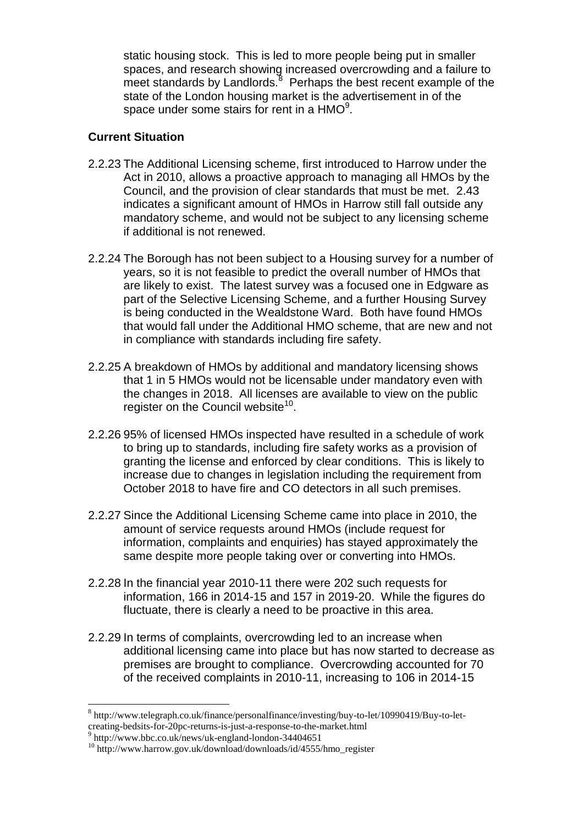static housing stock. This is led to more people being put in smaller spaces, and research showing increased overcrowding and a failure to meet standards by Landlords. $8$  Perhaps the best recent example of the state of the London housing market is the advertisement in of the space under some stairs for rent in a  $HMO<sup>9</sup>$ .

#### **Current Situation**

- 2.2.23 The Additional Licensing scheme, first introduced to Harrow under the Act in 2010, allows a proactive approach to managing all HMOs by the Council, and the provision of clear standards that must be met. 2.43 indicates a significant amount of HMOs in Harrow still fall outside any mandatory scheme, and would not be subject to any licensing scheme if additional is not renewed.
- 2.2.24 The Borough has not been subject to a Housing survey for a number of years, so it is not feasible to predict the overall number of HMOs that are likely to exist. The latest survey was a focused one in Edgware as part of the Selective Licensing Scheme, and a further Housing Survey is being conducted in the Wealdstone Ward. Both have found HMOs that would fall under the Additional HMO scheme, that are new and not in compliance with standards including fire safety.
- 2.2.25 A breakdown of HMOs by additional and mandatory licensing shows that 1 in 5 HMOs would not be licensable under mandatory even with the changes in 2018. All licenses are available to view on the public register on the Council website<sup>10</sup>.
- 2.2.26 95% of licensed HMOs inspected have resulted in a schedule of work to bring up to standards, including fire safety works as a provision of granting the license and enforced by clear conditions. This is likely to increase due to changes in legislation including the requirement from October 2018 to have fire and CO detectors in all such premises.
- 2.2.27 Since the Additional Licensing Scheme came into place in 2010, the amount of service requests around HMOs (include request for information, complaints and enquiries) has stayed approximately the same despite more people taking over or converting into HMOs.
- 2.2.28 In the financial year 2010-11 there were 202 such requests for information, 166 in 2014-15 and 157 in 2019-20. While the figures do fluctuate, there is clearly a need to be proactive in this area.
- 2.2.29 In terms of complaints, overcrowding led to an increase when additional licensing came into place but has now started to decrease as premises are brought to compliance. Overcrowding accounted for 70 of the received complaints in 2010-11, increasing to 106 in 2014-15

1

<sup>8</sup> http://www.telegraph.co.uk/finance/personalfinance/investing/buy-to-let/10990419/Buy-to-letcreating-bedsits-for-20pc-returns-is-just-a-response-to-the-market.html<br><sup>9</sup> http://www.bbs.co.uk/pays/uk.org/and-london.<sup>24404651</sup>

http://www.bbc.co.uk/news/uk-england-london-34404651

<sup>&</sup>lt;sup>10</sup> http://www.harrow.gov.uk/download/downloads/id/4555/hmo\_register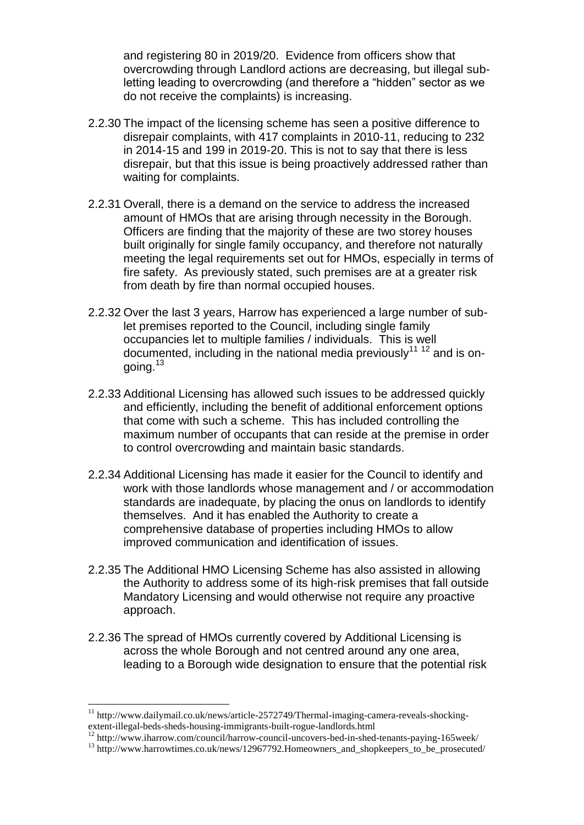and registering 80 in 2019/20. Evidence from officers show that overcrowding through Landlord actions are decreasing, but illegal subletting leading to overcrowding (and therefore a "hidden" sector as we do not receive the complaints) is increasing.

- 2.2.30 The impact of the licensing scheme has seen a positive difference to disrepair complaints, with 417 complaints in 2010-11, reducing to 232 in 2014-15 and 199 in 2019-20. This is not to say that there is less disrepair, but that this issue is being proactively addressed rather than waiting for complaints.
- 2.2.31 Overall, there is a demand on the service to address the increased amount of HMOs that are arising through necessity in the Borough. Officers are finding that the majority of these are two storey houses built originally for single family occupancy, and therefore not naturally meeting the legal requirements set out for HMOs, especially in terms of fire safety. As previously stated, such premises are at a greater risk from death by fire than normal occupied houses.
- 2.2.32 Over the last 3 years, Harrow has experienced a large number of sublet premises reported to the Council, including single family occupancies let to multiple families / individuals. This is well documented, including in the national media previously<sup>11 12</sup> and is ongoing.<sup>13</sup>
- 2.2.33 Additional Licensing has allowed such issues to be addressed quickly and efficiently, including the benefit of additional enforcement options that come with such a scheme. This has included controlling the maximum number of occupants that can reside at the premise in order to control overcrowding and maintain basic standards.
- 2.2.34 Additional Licensing has made it easier for the Council to identify and work with those landlords whose management and / or accommodation standards are inadequate, by placing the onus on landlords to identify themselves. And it has enabled the Authority to create a comprehensive database of properties including HMOs to allow improved communication and identification of issues.
- 2.2.35 The Additional HMO Licensing Scheme has also assisted in allowing the Authority to address some of its high-risk premises that fall outside Mandatory Licensing and would otherwise not require any proactive approach.
- 2.2.36 The spread of HMOs currently covered by Additional Licensing is across the whole Borough and not centred around any one area, leading to a Borough wide designation to ensure that the potential risk

1

<sup>12</sup> http://www.iharrow.com/council/harrow-council-uncovers-bed-in-shed-tenants-paying-165week/

<sup>&</sup>lt;sup>11</sup> http://www.dailymail.co.uk/news/article-2572749/Thermal-imaging-camera-reveals-shockingextent-illegal-beds-sheds-housing-immigrants-built-rogue-landlords.html

<sup>&</sup>lt;sup>13</sup> http://www.harrowtimes.co.uk/news/12967792.Homeowners\_and\_shopkeepers\_to\_be\_prosecuted/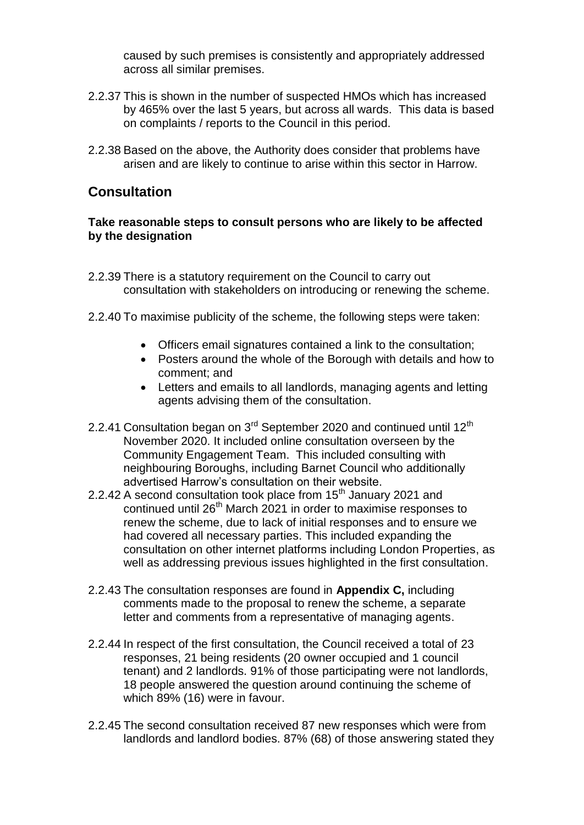caused by such premises is consistently and appropriately addressed across all similar premises.

- 2.2.37 This is shown in the number of suspected HMOs which has increased by 465% over the last 5 years, but across all wards. This data is based on complaints / reports to the Council in this period.
- 2.2.38 Based on the above, the Authority does consider that problems have arisen and are likely to continue to arise within this sector in Harrow.

### **Consultation**

#### **Take reasonable steps to consult persons who are likely to be affected by the designation**

- 2.2.39 There is a statutory requirement on the Council to carry out consultation with stakeholders on introducing or renewing the scheme.
- 2.2.40 To maximise publicity of the scheme, the following steps were taken:
	- Officers email signatures contained a link to the consultation;
	- Posters around the whole of the Borough with details and how to comment; and
	- Letters and emails to all landlords, managing agents and letting agents advising them of the consultation.
- 2.2.41 Consultation began on  $3<sup>rd</sup>$  September 2020 and continued until 12<sup>th</sup> November 2020. It included online consultation overseen by the Community Engagement Team. This included consulting with neighbouring Boroughs, including Barnet Council who additionally advertised Harrow's consultation on their website.
- 2.2.42 A second consultation took place from  $15<sup>th</sup>$  January 2021 and continued until 26<sup>th</sup> March 2021 in order to maximise responses to renew the scheme, due to lack of initial responses and to ensure we had covered all necessary parties. This included expanding the consultation on other internet platforms including London Properties, as well as addressing previous issues highlighted in the first consultation.
- 2.2.43 The consultation responses are found in **Appendix C,** including comments made to the proposal to renew the scheme, a separate letter and comments from a representative of managing agents.
- 2.2.44 In respect of the first consultation, the Council received a total of 23 responses, 21 being residents (20 owner occupied and 1 council tenant) and 2 landlords. 91% of those participating were not landlords, 18 people answered the question around continuing the scheme of which 89% (16) were in favour.
- 2.2.45 The second consultation received 87 new responses which were from landlords and landlord bodies. 87% (68) of those answering stated they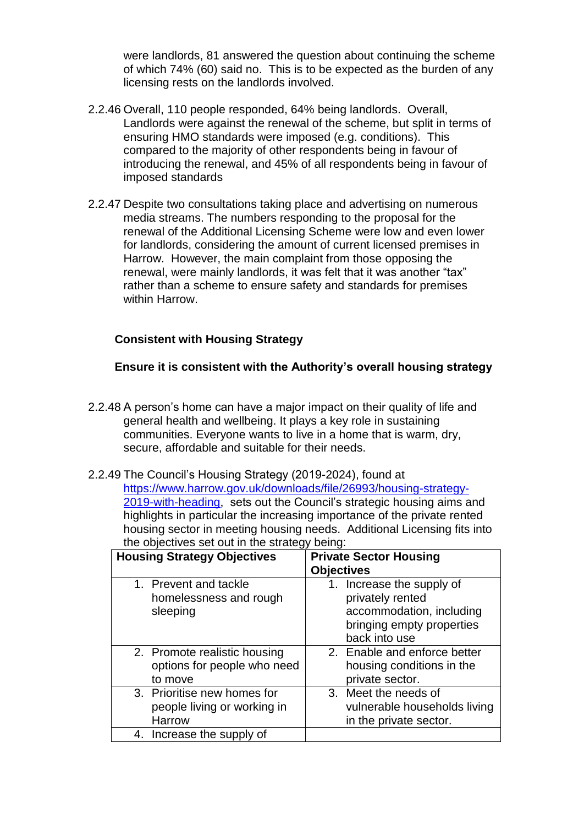were landlords, 81 answered the question about continuing the scheme of which 74% (60) said no. This is to be expected as the burden of any licensing rests on the landlords involved.

- 2.2.46 Overall, 110 people responded, 64% being landlords. Overall, Landlords were against the renewal of the scheme, but split in terms of ensuring HMO standards were imposed (e.g. conditions). This compared to the majority of other respondents being in favour of introducing the renewal, and 45% of all respondents being in favour of imposed standards
- 2.2.47 Despite two consultations taking place and advertising on numerous media streams. The numbers responding to the proposal for the renewal of the Additional Licensing Scheme were low and even lower for landlords, considering the amount of current licensed premises in Harrow. However, the main complaint from those opposing the renewal, were mainly landlords, it was felt that it was another "tax" rather than a scheme to ensure safety and standards for premises within Harrow.

#### **Consistent with Housing Strategy**

#### **Ensure it is consistent with the Authority's overall housing strategy**

- 2.2.48 A person's home can have a major impact on their quality of life and general health and wellbeing. It plays a key role in sustaining communities. Everyone wants to live in a home that is warm, dry, secure, affordable and suitable for their needs.
- 2.2.49 The Council's Housing Strategy (2019-2024), found at [https://www.harrow.gov.uk/downloads/file/26993/housing-strategy-](https://www.harrow.gov.uk/downloads/file/26993/housing-strategy-2019-with-heading)[2019-with-heading,](https://www.harrow.gov.uk/downloads/file/26993/housing-strategy-2019-with-heading) sets out the Council's strategic housing aims and highlights in particular the increasing importance of the private rented housing sector in meeting housing needs. Additional Licensing fits into the objectives set out in the strategy being:

|         | <b>Housing Strategy Objectives</b>                          | <b>Objectives</b> | <b>Private Sector Housing</b>                                                                                           |
|---------|-------------------------------------------------------------|-------------------|-------------------------------------------------------------------------------------------------------------------------|
|         | 1. Prevent and tackle<br>homelessness and rough<br>sleeping |                   | 1. Increase the supply of<br>privately rented<br>accommodation, including<br>bringing empty properties<br>back into use |
| to move | 2. Promote realistic housing<br>options for people who need |                   | 2. Enable and enforce better<br>housing conditions in the<br>private sector.                                            |
| Harrow  | 3. Prioritise new homes for<br>people living or working in  |                   | 3. Meet the needs of<br>vulnerable households living<br>in the private sector.                                          |
|         | 4. Increase the supply of                                   |                   |                                                                                                                         |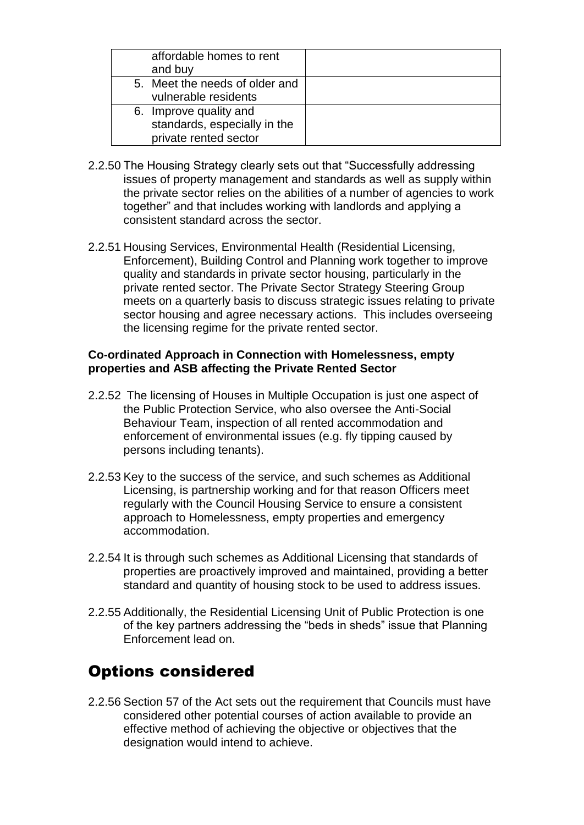| affordable homes to rent<br>and buy                                             |  |
|---------------------------------------------------------------------------------|--|
| 5. Meet the needs of older and<br>vulnerable residents                          |  |
| 6. Improve quality and<br>standards, especially in the<br>private rented sector |  |

- 2.2.50 The Housing Strategy clearly sets out that "Successfully addressing issues of property management and standards as well as supply within the private sector relies on the abilities of a number of agencies to work together" and that includes working with landlords and applying a consistent standard across the sector.
- 2.2.51 Housing Services, Environmental Health (Residential Licensing, Enforcement), Building Control and Planning work together to improve quality and standards in private sector housing, particularly in the private rented sector. The Private Sector Strategy Steering Group meets on a quarterly basis to discuss strategic issues relating to private sector housing and agree necessary actions. This includes overseeing the licensing regime for the private rented sector.

#### **Co-ordinated Approach in Connection with Homelessness, empty properties and ASB affecting the Private Rented Sector**

- 2.2.52 The licensing of Houses in Multiple Occupation is just one aspect of the Public Protection Service, who also oversee the Anti-Social Behaviour Team, inspection of all rented accommodation and enforcement of environmental issues (e.g. fly tipping caused by persons including tenants).
- 2.2.53 Key to the success of the service, and such schemes as Additional Licensing, is partnership working and for that reason Officers meet regularly with the Council Housing Service to ensure a consistent approach to Homelessness, empty properties and emergency accommodation.
- 2.2.54 It is through such schemes as Additional Licensing that standards of properties are proactively improved and maintained, providing a better standard and quantity of housing stock to be used to address issues.
- 2.2.55 Additionally, the Residential Licensing Unit of Public Protection is one of the key partners addressing the "beds in sheds" issue that Planning Enforcement lead on.

## Options considered

2.2.56 Section 57 of the Act sets out the requirement that Councils must have considered other potential courses of action available to provide an effective method of achieving the objective or objectives that the designation would intend to achieve.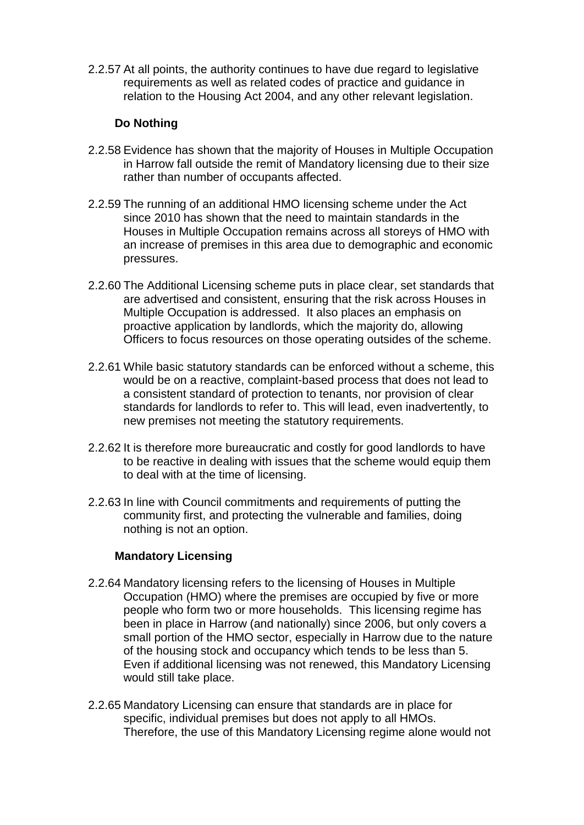2.2.57 At all points, the authority continues to have due regard to legislative requirements as well as related codes of practice and guidance in relation to the Housing Act 2004, and any other relevant legislation.

#### **Do Nothing**

- 2.2.58 Evidence has shown that the majority of Houses in Multiple Occupation in Harrow fall outside the remit of Mandatory licensing due to their size rather than number of occupants affected.
- 2.2.59 The running of an additional HMO licensing scheme under the Act since 2010 has shown that the need to maintain standards in the Houses in Multiple Occupation remains across all storeys of HMO with an increase of premises in this area due to demographic and economic pressures.
- 2.2.60 The Additional Licensing scheme puts in place clear, set standards that are advertised and consistent, ensuring that the risk across Houses in Multiple Occupation is addressed. It also places an emphasis on proactive application by landlords, which the majority do, allowing Officers to focus resources on those operating outsides of the scheme.
- 2.2.61 While basic statutory standards can be enforced without a scheme, this would be on a reactive, complaint-based process that does not lead to a consistent standard of protection to tenants, nor provision of clear standards for landlords to refer to. This will lead, even inadvertently, to new premises not meeting the statutory requirements.
- 2.2.62 It is therefore more bureaucratic and costly for good landlords to have to be reactive in dealing with issues that the scheme would equip them to deal with at the time of licensing.
- 2.2.63 In line with Council commitments and requirements of putting the community first, and protecting the vulnerable and families, doing nothing is not an option.

#### **Mandatory Licensing**

- 2.2.64 Mandatory licensing refers to the licensing of Houses in Multiple Occupation (HMO) where the premises are occupied by five or more people who form two or more households. This licensing regime has been in place in Harrow (and nationally) since 2006, but only covers a small portion of the HMO sector, especially in Harrow due to the nature of the housing stock and occupancy which tends to be less than 5. Even if additional licensing was not renewed, this Mandatory Licensing would still take place.
- 2.2.65 Mandatory Licensing can ensure that standards are in place for specific, individual premises but does not apply to all HMOs. Therefore, the use of this Mandatory Licensing regime alone would not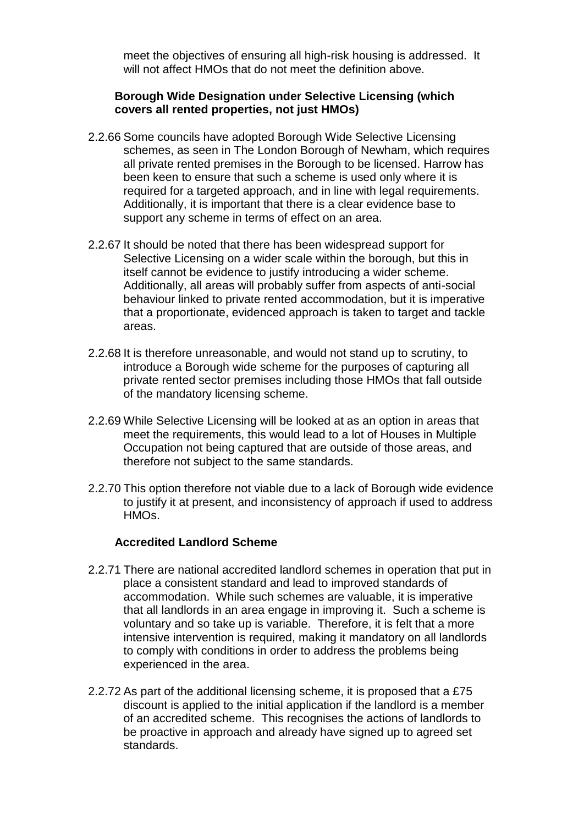meet the objectives of ensuring all high-risk housing is addressed. It will not affect HMOs that do not meet the definition above.

#### **Borough Wide Designation under Selective Licensing (which covers all rented properties, not just HMOs)**

- 2.2.66 Some councils have adopted Borough Wide Selective Licensing schemes, as seen in The London Borough of Newham, which requires all private rented premises in the Borough to be licensed. Harrow has been keen to ensure that such a scheme is used only where it is required for a targeted approach, and in line with legal requirements. Additionally, it is important that there is a clear evidence base to support any scheme in terms of effect on an area.
- 2.2.67 It should be noted that there has been widespread support for Selective Licensing on a wider scale within the borough, but this in itself cannot be evidence to justify introducing a wider scheme. Additionally, all areas will probably suffer from aspects of anti-social behaviour linked to private rented accommodation, but it is imperative that a proportionate, evidenced approach is taken to target and tackle areas.
- 2.2.68 It is therefore unreasonable, and would not stand up to scrutiny, to introduce a Borough wide scheme for the purposes of capturing all private rented sector premises including those HMOs that fall outside of the mandatory licensing scheme.
- 2.2.69 While Selective Licensing will be looked at as an option in areas that meet the requirements, this would lead to a lot of Houses in Multiple Occupation not being captured that are outside of those areas, and therefore not subject to the same standards.
- 2.2.70 This option therefore not viable due to a lack of Borough wide evidence to justify it at present, and inconsistency of approach if used to address HMOs.

#### **Accredited Landlord Scheme**

- 2.2.71 There are national accredited landlord schemes in operation that put in place a consistent standard and lead to improved standards of accommodation. While such schemes are valuable, it is imperative that all landlords in an area engage in improving it. Such a scheme is voluntary and so take up is variable. Therefore, it is felt that a more intensive intervention is required, making it mandatory on all landlords to comply with conditions in order to address the problems being experienced in the area.
- 2.2.72 As part of the additional licensing scheme, it is proposed that a £75 discount is applied to the initial application if the landlord is a member of an accredited scheme. This recognises the actions of landlords to be proactive in approach and already have signed up to agreed set standards.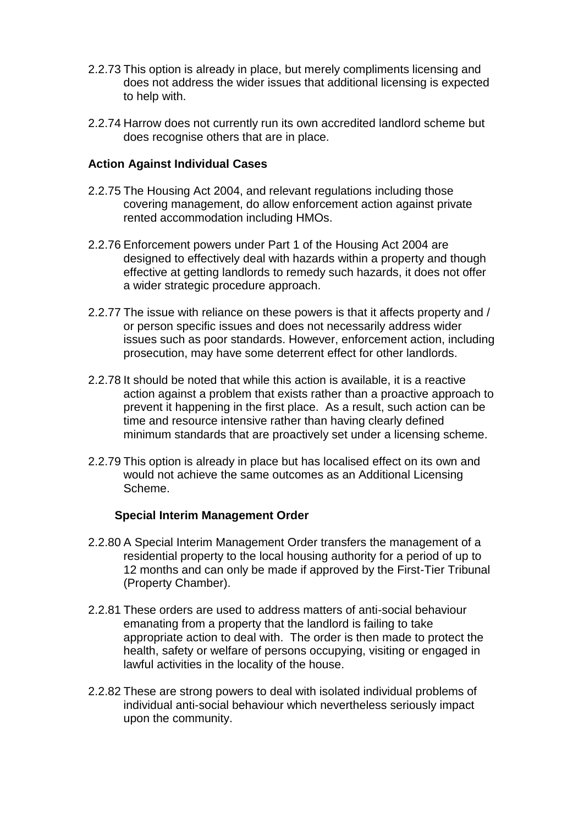- 2.2.73 This option is already in place, but merely compliments licensing and does not address the wider issues that additional licensing is expected to help with.
- 2.2.74 Harrow does not currently run its own accredited landlord scheme but does recognise others that are in place.

#### **Action Against Individual Cases**

- 2.2.75 The Housing Act 2004, and relevant regulations including those covering management, do allow enforcement action against private rented accommodation including HMOs.
- 2.2.76 Enforcement powers under Part 1 of the Housing Act 2004 are designed to effectively deal with hazards within a property and though effective at getting landlords to remedy such hazards, it does not offer a wider strategic procedure approach.
- 2.2.77 The issue with reliance on these powers is that it affects property and / or person specific issues and does not necessarily address wider issues such as poor standards. However, enforcement action, including prosecution, may have some deterrent effect for other landlords.
- 2.2.78 It should be noted that while this action is available, it is a reactive action against a problem that exists rather than a proactive approach to prevent it happening in the first place. As a result, such action can be time and resource intensive rather than having clearly defined minimum standards that are proactively set under a licensing scheme.
- 2.2.79 This option is already in place but has localised effect on its own and would not achieve the same outcomes as an Additional Licensing Scheme.

#### **Special Interim Management Order**

- 2.2.80 A Special Interim Management Order transfers the management of a residential property to the local housing authority for a period of up to 12 months and can only be made if approved by the First-Tier Tribunal (Property Chamber).
- 2.2.81 These orders are used to address matters of anti-social behaviour emanating from a property that the landlord is failing to take appropriate action to deal with. The order is then made to protect the health, safety or welfare of persons occupying, visiting or engaged in lawful activities in the locality of the house.
- 2.2.82 These are strong powers to deal with isolated individual problems of individual anti-social behaviour which nevertheless seriously impact upon the community.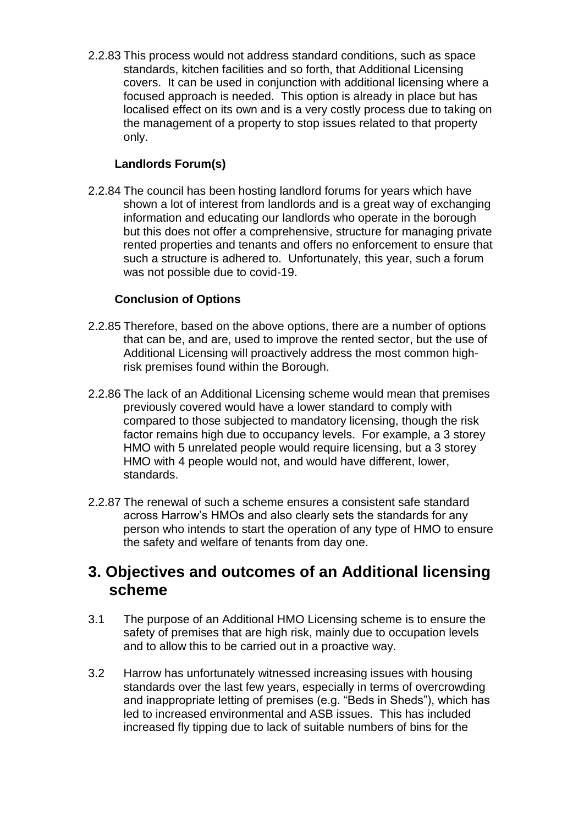2.2.83 This process would not address standard conditions, such as space standards, kitchen facilities and so forth, that Additional Licensing covers. It can be used in conjunction with additional licensing where a focused approach is needed. This option is already in place but has localised effect on its own and is a very costly process due to taking on the management of a property to stop issues related to that property only.

### **Landlords Forum(s)**

2.2.84 The council has been hosting landlord forums for years which have shown a lot of interest from landlords and is a great way of exchanging information and educating our landlords who operate in the borough but this does not offer a comprehensive, structure for managing private rented properties and tenants and offers no enforcement to ensure that such a structure is adhered to. Unfortunately, this year, such a forum was not possible due to covid-19.

#### **Conclusion of Options**

- 2.2.85 Therefore, based on the above options, there are a number of options that can be, and are, used to improve the rented sector, but the use of Additional Licensing will proactively address the most common highrisk premises found within the Borough.
- 2.2.86 The lack of an Additional Licensing scheme would mean that premises previously covered would have a lower standard to comply with compared to those subjected to mandatory licensing, though the risk factor remains high due to occupancy levels. For example, a 3 storey HMO with 5 unrelated people would require licensing, but a 3 storey HMO with 4 people would not, and would have different, lower, standards.
- 2.2.87 The renewal of such a scheme ensures a consistent safe standard across Harrow's HMOs and also clearly sets the standards for any person who intends to start the operation of any type of HMO to ensure the safety and welfare of tenants from day one.

## **3. Objectives and outcomes of an Additional licensing scheme**

- 3.1 The purpose of an Additional HMO Licensing scheme is to ensure the safety of premises that are high risk, mainly due to occupation levels and to allow this to be carried out in a proactive way.
- 3.2 Harrow has unfortunately witnessed increasing issues with housing standards over the last few years, especially in terms of overcrowding and inappropriate letting of premises (e.g. "Beds in Sheds"), which has led to increased environmental and ASB issues. This has included increased fly tipping due to lack of suitable numbers of bins for the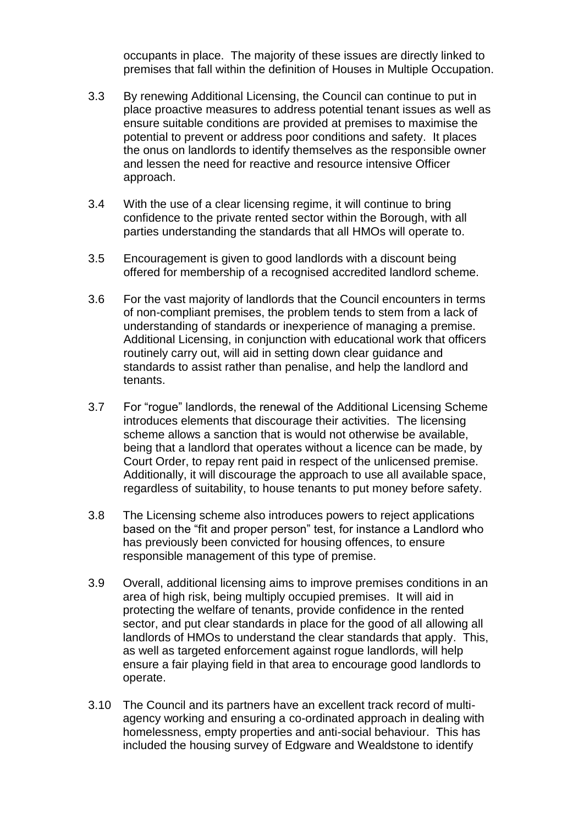occupants in place. The majority of these issues are directly linked to premises that fall within the definition of Houses in Multiple Occupation.

- 3.3 By renewing Additional Licensing, the Council can continue to put in place proactive measures to address potential tenant issues as well as ensure suitable conditions are provided at premises to maximise the potential to prevent or address poor conditions and safety. It places the onus on landlords to identify themselves as the responsible owner and lessen the need for reactive and resource intensive Officer approach.
- 3.4 With the use of a clear licensing regime, it will continue to bring confidence to the private rented sector within the Borough, with all parties understanding the standards that all HMOs will operate to.
- 3.5 Encouragement is given to good landlords with a discount being offered for membership of a recognised accredited landlord scheme.
- 3.6 For the vast majority of landlords that the Council encounters in terms of non-compliant premises, the problem tends to stem from a lack of understanding of standards or inexperience of managing a premise. Additional Licensing, in conjunction with educational work that officers routinely carry out, will aid in setting down clear guidance and standards to assist rather than penalise, and help the landlord and tenants.
- 3.7 For "rogue" landlords, the renewal of the Additional Licensing Scheme introduces elements that discourage their activities. The licensing scheme allows a sanction that is would not otherwise be available, being that a landlord that operates without a licence can be made, by Court Order, to repay rent paid in respect of the unlicensed premise. Additionally, it will discourage the approach to use all available space, regardless of suitability, to house tenants to put money before safety.
- 3.8 The Licensing scheme also introduces powers to reject applications based on the "fit and proper person" test, for instance a Landlord who has previously been convicted for housing offences, to ensure responsible management of this type of premise.
- 3.9 Overall, additional licensing aims to improve premises conditions in an area of high risk, being multiply occupied premises. It will aid in protecting the welfare of tenants, provide confidence in the rented sector, and put clear standards in place for the good of all allowing all landlords of HMOs to understand the clear standards that apply. This, as well as targeted enforcement against rogue landlords, will help ensure a fair playing field in that area to encourage good landlords to operate.
- 3.10 The Council and its partners have an excellent track record of multiagency working and ensuring a co-ordinated approach in dealing with homelessness, empty properties and anti-social behaviour. This has included the housing survey of Edgware and Wealdstone to identify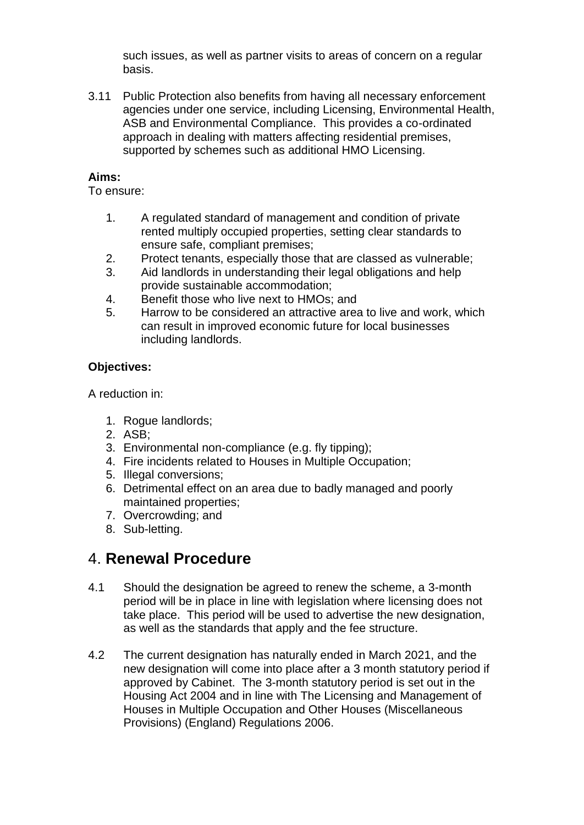such issues, as well as partner visits to areas of concern on a regular basis.

3.11 Public Protection also benefits from having all necessary enforcement agencies under one service, including Licensing, Environmental Health, ASB and Environmental Compliance. This provides a co-ordinated approach in dealing with matters affecting residential premises, supported by schemes such as additional HMO Licensing.

#### **Aims:**

To ensure:

- 1. A regulated standard of management and condition of private rented multiply occupied properties, setting clear standards to ensure safe, compliant premises;
- 2. Protect tenants, especially those that are classed as vulnerable;
- 3. Aid landlords in understanding their legal obligations and help provide sustainable accommodation;
- 4. Benefit those who live next to HMOs; and
- 5. Harrow to be considered an attractive area to live and work, which can result in improved economic future for local businesses including landlords.

### **Objectives:**

A reduction in:

- 1. Rogue landlords;
- 2. ASB;
- 3. Environmental non-compliance (e.g. fly tipping);
- 4. Fire incidents related to Houses in Multiple Occupation;
- 5. Illegal conversions;
- 6. Detrimental effect on an area due to badly managed and poorly maintained properties;
- 7. Overcrowding; and
- 8. Sub-letting.

## 4. **Renewal Procedure**

- 4.1 Should the designation be agreed to renew the scheme, a 3-month period will be in place in line with legislation where licensing does not take place. This period will be used to advertise the new designation, as well as the standards that apply and the fee structure.
- 4.2 The current designation has naturally ended in March 2021, and the new designation will come into place after a 3 month statutory period if approved by Cabinet. The 3-month statutory period is set out in the Housing Act 2004 and in line with The Licensing and Management of Houses in Multiple Occupation and Other Houses (Miscellaneous Provisions) (England) Regulations 2006.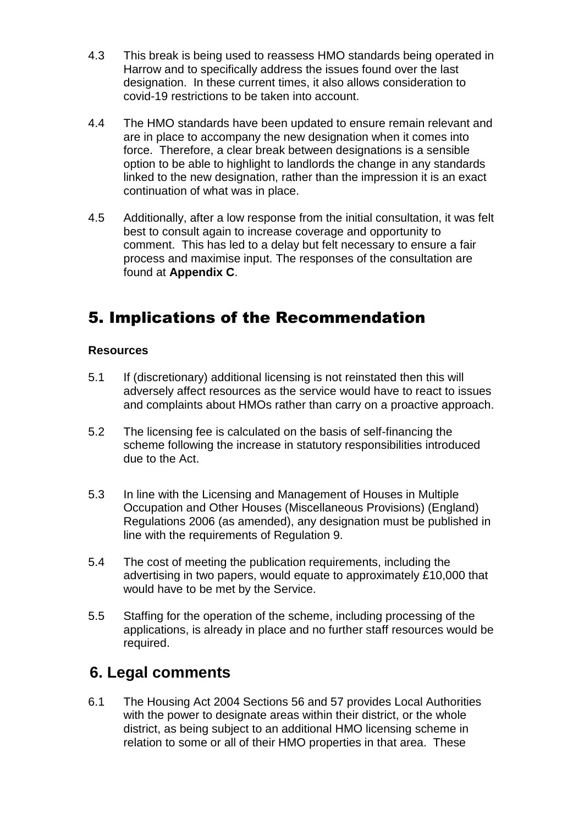- 4.3 This break is being used to reassess HMO standards being operated in Harrow and to specifically address the issues found over the last designation. In these current times, it also allows consideration to covid-19 restrictions to be taken into account.
- 4.4 The HMO standards have been updated to ensure remain relevant and are in place to accompany the new designation when it comes into force. Therefore, a clear break between designations is a sensible option to be able to highlight to landlords the change in any standards linked to the new designation, rather than the impression it is an exact continuation of what was in place.
- 4.5 Additionally, after a low response from the initial consultation, it was felt best to consult again to increase coverage and opportunity to comment. This has led to a delay but felt necessary to ensure a fair process and maximise input. The responses of the consultation are found at **Appendix C**.

# 5. Implications of the Recommendation

#### **Resources**

- 5.1 If (discretionary) additional licensing is not reinstated then this will adversely affect resources as the service would have to react to issues and complaints about HMOs rather than carry on a proactive approach.
- 5.2 The licensing fee is calculated on the basis of self-financing the scheme following the increase in statutory responsibilities introduced due to the Act.
- 5.3 In line with the Licensing and Management of Houses in Multiple Occupation and Other Houses (Miscellaneous Provisions) (England) Regulations 2006 (as amended), any designation must be published in line with the requirements of Regulation 9.
- 5.4 The cost of meeting the publication requirements, including the advertising in two papers, would equate to approximately £10,000 that would have to be met by the Service.
- 5.5 Staffing for the operation of the scheme, including processing of the applications, is already in place and no further staff resources would be required.

### **6. Legal comments**

6.1 The Housing Act 2004 Sections 56 and 57 provides Local Authorities with the power to designate areas within their district, or the whole district, as being subject to an additional HMO licensing scheme in relation to some or all of their HMO properties in that area. These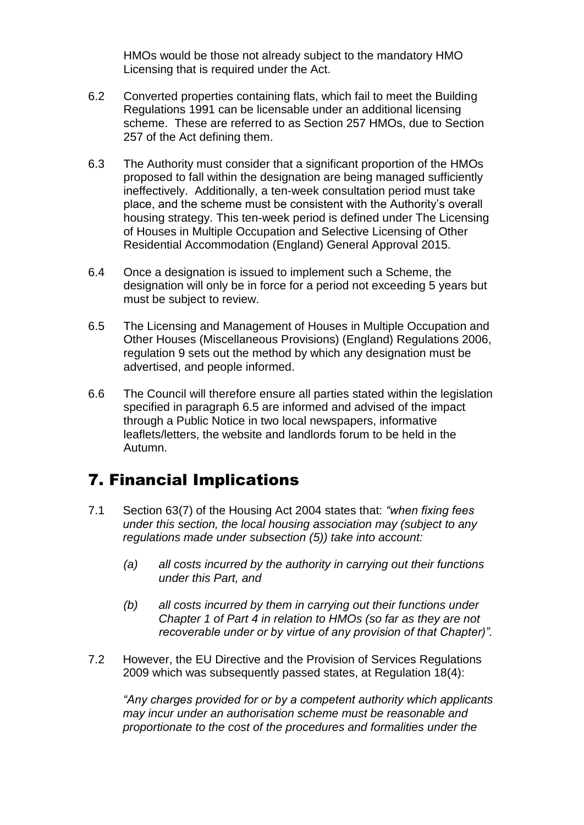HMOs would be those not already subject to the mandatory HMO Licensing that is required under the Act.

- 6.2 Converted properties containing flats, which fail to meet the Building Regulations 1991 can be licensable under an additional licensing scheme. These are referred to as Section 257 HMOs, due to Section 257 of the Act defining them.
- 6.3 The Authority must consider that a significant proportion of the HMOs proposed to fall within the designation are being managed sufficiently ineffectively. Additionally, a ten-week consultation period must take place, and the scheme must be consistent with the Authority's overall housing strategy. This ten-week period is defined under The Licensing of Houses in Multiple Occupation and Selective Licensing of Other Residential Accommodation (England) General Approval 2015.
- 6.4 Once a designation is issued to implement such a Scheme, the designation will only be in force for a period not exceeding 5 years but must be subject to review.
- 6.5 The Licensing and Management of Houses in Multiple Occupation and Other Houses (Miscellaneous Provisions) (England) Regulations 2006, regulation 9 sets out the method by which any designation must be advertised, and people informed.
- 6.6 The Council will therefore ensure all parties stated within the legislation specified in paragraph 6.5 are informed and advised of the impact through a Public Notice in two local newspapers, informative leaflets/letters, the website and landlords forum to be held in the Autumn.

# 7. Financial Implications

- 7.1 Section 63(7) of the Housing Act 2004 states that: *"when fixing fees under this section, the local housing association may (subject to any regulations made under subsection (5)) take into account:*
	- *(a) all costs incurred by the authority in carrying out their functions under this Part, and*
	- *(b) all costs incurred by them in carrying out their functions under Chapter 1 of Part 4 in relation to HMOs (so far as they are not recoverable under or by virtue of any provision of that Chapter)".*
- 7.2 However, the EU Directive and the Provision of Services Regulations 2009 which was subsequently passed states, at Regulation 18(4):

*"Any charges provided for or by a competent authority which applicants may incur under an authorisation scheme must be reasonable and proportionate to the cost of the procedures and formalities under the*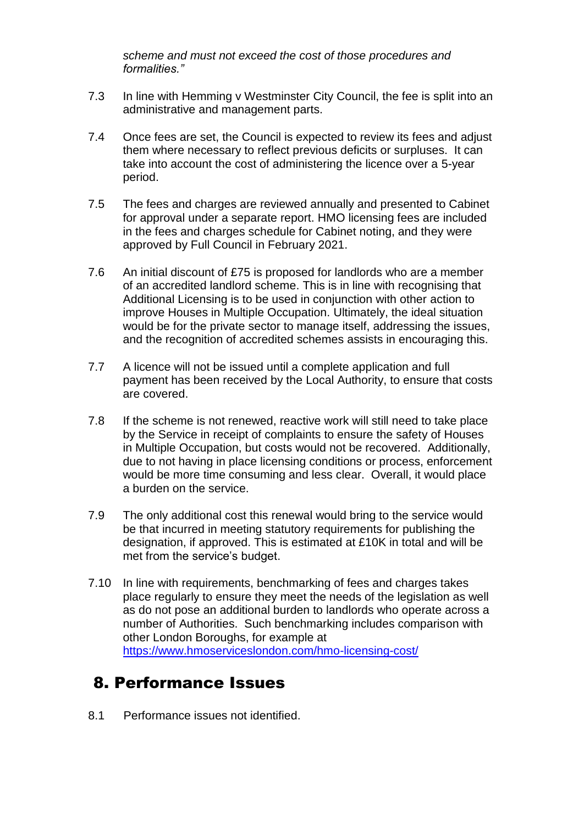*scheme and must not exceed the cost of those procedures and formalities."*

- 7.3 In line with Hemming v Westminster City Council, the fee is split into an administrative and management parts.
- 7.4 Once fees are set, the Council is expected to review its fees and adjust them where necessary to reflect previous deficits or surpluses. It can take into account the cost of administering the licence over a 5-year period.
- 7.5 The fees and charges are reviewed annually and presented to Cabinet for approval under a separate report. HMO licensing fees are included in the fees and charges schedule for Cabinet noting, and they were approved by Full Council in February 2021.
- 7.6 An initial discount of £75 is proposed for landlords who are a member of an accredited landlord scheme. This is in line with recognising that Additional Licensing is to be used in conjunction with other action to improve Houses in Multiple Occupation. Ultimately, the ideal situation would be for the private sector to manage itself, addressing the issues, and the recognition of accredited schemes assists in encouraging this.
- 7.7 A licence will not be issued until a complete application and full payment has been received by the Local Authority, to ensure that costs are covered.
- 7.8 If the scheme is not renewed, reactive work will still need to take place by the Service in receipt of complaints to ensure the safety of Houses in Multiple Occupation, but costs would not be recovered. Additionally, due to not having in place licensing conditions or process, enforcement would be more time consuming and less clear. Overall, it would place a burden on the service.
- 7.9 The only additional cost this renewal would bring to the service would be that incurred in meeting statutory requirements for publishing the designation, if approved. This is estimated at £10K in total and will be met from the service's budget.
- 7.10 In line with requirements, benchmarking of fees and charges takes place regularly to ensure they meet the needs of the legislation as well as do not pose an additional burden to landlords who operate across a number of Authorities. Such benchmarking includes comparison with other London Boroughs, for example at <https://www.hmoserviceslondon.com/hmo-licensing-cost/>

## 8. Performance Issues

8.1 Performance issues not identified.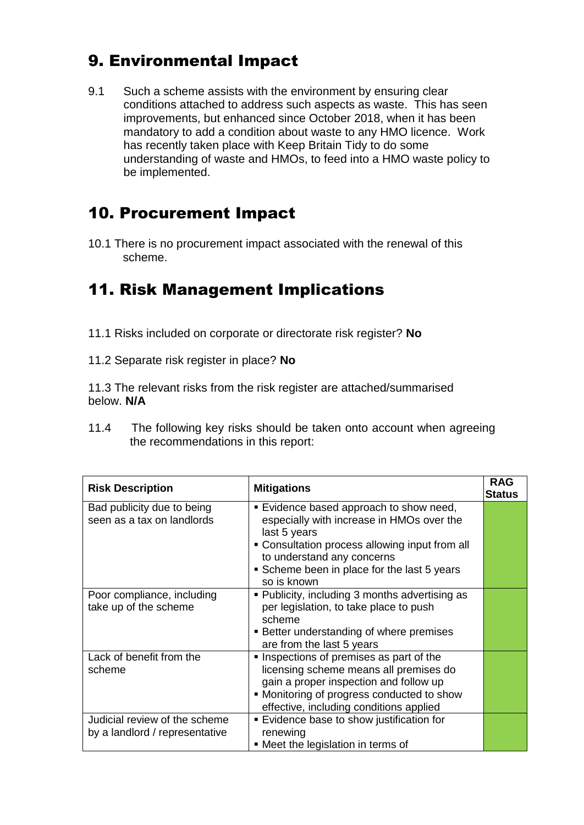## 9. Environmental Impact

9.1 Such a scheme assists with the environment by ensuring clear conditions attached to address such aspects as waste. This has seen improvements, but enhanced since October 2018, when it has been mandatory to add a condition about waste to any HMO licence. Work has recently taken place with Keep Britain Tidy to do some understanding of waste and HMOs, to feed into a HMO waste policy to be implemented.

## 10. Procurement Impact

10.1 There is no procurement impact associated with the renewal of this scheme.

# 11. Risk Management Implications

- 11.1 Risks included on corporate or directorate risk register? **No**
- 11.2 Separate risk register in place? **No**

11.3 The relevant risks from the risk register are attached/summarised below. **N/A**

11.4 The following key risks should be taken onto account when agreeing the recommendations in this report:

| <b>Risk Description</b>                                         | <b>Mitigations</b>                                                                                                                                                                                                                               | <b>RAG</b><br><b>Status</b> |
|-----------------------------------------------------------------|--------------------------------------------------------------------------------------------------------------------------------------------------------------------------------------------------------------------------------------------------|-----------------------------|
| Bad publicity due to being<br>seen as a tax on landlords        | ■ Evidence based approach to show need,<br>especially with increase in HMOs over the<br>last 5 years<br>• Consultation process allowing input from all<br>to understand any concerns<br>Scheme been in place for the last 5 years<br>so is known |                             |
| Poor compliance, including<br>take up of the scheme             | • Publicity, including 3 months advertising as<br>per legislation, to take place to push<br>scheme<br>■ Better understanding of where premises<br>are from the last 5 years                                                                      |                             |
| Lack of benefit from the<br>scheme                              | Inspections of premises as part of the<br>licensing scheme means all premises do<br>gain a proper inspection and follow up<br>• Monitoring of progress conducted to show<br>effective, including conditions applied                              |                             |
| Judicial review of the scheme<br>by a landlord / representative | Evidence base to show justification for<br>renewing<br>• Meet the legislation in terms of                                                                                                                                                        |                             |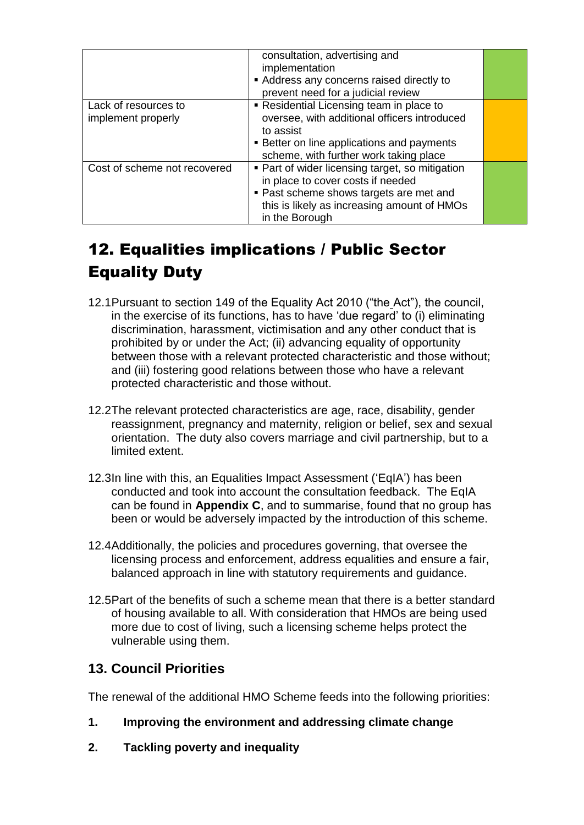|                                            | consultation, advertising and<br>implementation<br>Address any concerns raised directly to<br>prevent need for a judicial review                                                                 |  |
|--------------------------------------------|--------------------------------------------------------------------------------------------------------------------------------------------------------------------------------------------------|--|
| Lack of resources to<br>implement properly | Residential Licensing team in place to<br>oversee, with additional officers introduced<br>to assist<br><b>Better on line applications and payments</b><br>scheme, with further work taking place |  |
| Cost of scheme not recovered               | • Part of wider licensing target, so mitigation<br>in place to cover costs if needed<br>• Past scheme shows targets are met and<br>this is likely as increasing amount of HMOs<br>in the Borough |  |

# 12. Equalities implications / Public Sector Equality Duty

- 12.1Pursuant to section 149 of the Equality Act 2010 ("the Act"), the council, in the exercise of its functions, has to have 'due regard' to (i) eliminating discrimination, harassment, victimisation and any other conduct that is prohibited by or under the Act; (ii) advancing equality of opportunity between those with a relevant protected characteristic and those without; and (iii) fostering good relations between those who have a relevant protected characteristic and those without.
- 12.2The relevant protected characteristics are age, race, disability, gender reassignment, pregnancy and maternity, religion or belief, sex and sexual orientation. The duty also covers marriage and civil partnership, but to a limited extent.
- 12.3In line with this, an Equalities Impact Assessment ('EqIA') has been conducted and took into account the consultation feedback. The EqIA can be found in **Appendix C**, and to summarise, found that no group has been or would be adversely impacted by the introduction of this scheme.
- 12.4Additionally, the policies and procedures governing, that oversee the licensing process and enforcement, address equalities and ensure a fair, balanced approach in line with statutory requirements and guidance.
- 12.5Part of the benefits of such a scheme mean that there is a better standard of housing available to all. With consideration that HMOs are being used more due to cost of living, such a licensing scheme helps protect the vulnerable using them.

### **13. Council Priorities**

The renewal of the additional HMO Scheme feeds into the following priorities:

- **1. Improving the environment and addressing climate change**
- **2. Tackling poverty and inequality**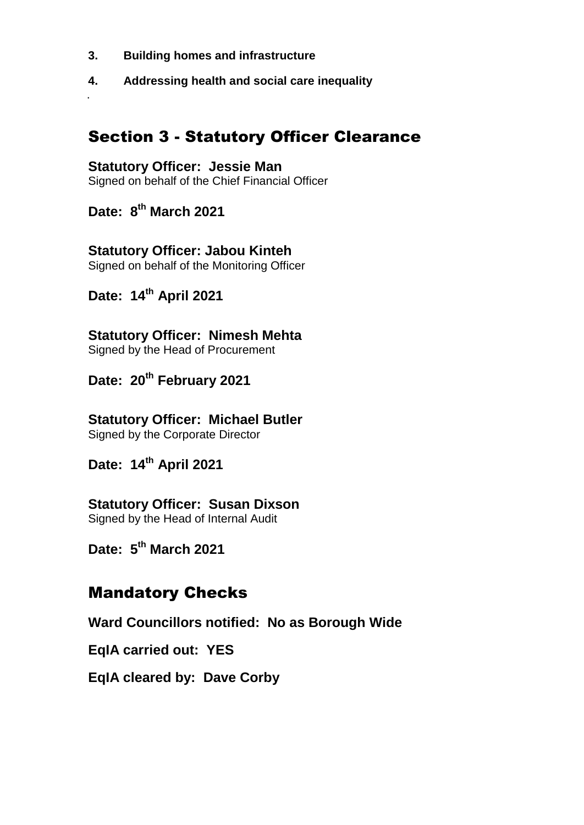- **3. Building homes and infrastructure**
- **4. Addressing health and social care inequality**

## Section 3 - Statutory Officer Clearance

#### **Statutory Officer: Jessie Man**

Signed on behalf of the Chief Financial Officer

**Date: 8 th March 2021**

.

### **Statutory Officer: Jabou Kinteh**

Signed on behalf of the Monitoring Officer

## **Date: 14th April 2021**

**Statutory Officer: Nimesh Mehta** Signed by the Head of Procurement

**Date: 20th February 2021**

**Statutory Officer: Michael Butler** Signed by the Corporate Director

**Date: 14th April 2021**

### **Statutory Officer: Susan Dixson**

Signed by the Head of Internal Audit

**Date: 5 th March 2021**

## Mandatory Checks

**Ward Councillors notified: No as Borough Wide**

**EqIA carried out: YES**

**EqIA cleared by: Dave Corby**